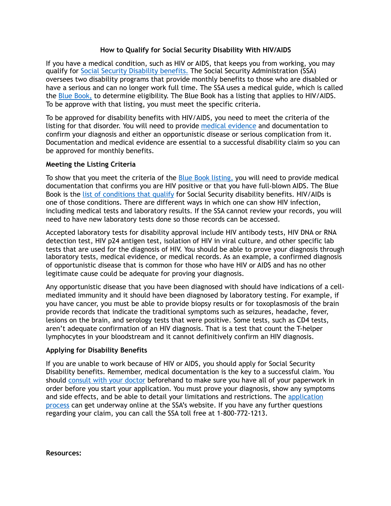## **How to Qualify for Social Security Disability With HIV/AIDS**

If you have a medical condition, such as HIV or AIDS, that keeps you from working, you may qualify for [Social Security Disability benefits.](https://www.ssa.gov/disability/) The Social Security Administration (SSA) oversees two disability programs that provide monthly benefits to those who are disabled or have a serious and can no longer work full time. The SSA uses a medical guide, which is called the [Blue Book,](https://www.ssa.gov/disability/professionals/bluebook/AdultListings.htm) to determine eligibility. The Blue Book has a listing that applies to HIV/AIDS. To be approve with that listing, you must meet the specific criteria.

To be approved for disability benefits with HIV/AIDS, you need to meet the criteria of the listing for that disorder. You will need to provide [medical evidence](https://www.disabilitybenefitscenter.org/glossary/acceptable-medical-source) and documentation to confirm your diagnosis and either an opportunistic disease or serious complication from it. Documentation and medical evidence are essential to a successful disability claim so you can be approved for monthly benefits.

## **Meeting the Listing Criteria**

To show that you meet the criteria of the **Blue Book listing**, you will need to provide medical documentation that confirms you are HIV positive or that you have full-blown AIDS. The Blue Book is the [list of conditions that qualify](https://www.disabilitybenefitscenter.org/social-security-disabling-conditions) for Social Security disability benefits. HIV/AIDs is one of those conditions. There are different ways in which one can show HIV infection, including medical tests and laboratory results. If the SSA cannot review your records, you will need to have new laboratory tests done so those records can be accessed.

Accepted laboratory tests for disability approval include HIV antibody tests, HIV DNA or RNA detection test, HIV p24 antigen test, isolation of HIV in viral culture, and other specific lab tests that are used for the diagnosis of HIV. You should be able to prove your diagnosis through laboratory tests, medical evidence, or medical records. As an example, a confirmed diagnosis of opportunistic disease that is common for those who have HIV or AIDS and has no other legitimate cause could be adequate for proving your diagnosis.

Any opportunistic disease that you have been diagnosed with should have indications of a cellmediated immunity and it should have been diagnosed by laboratory testing. For example, if you have cancer, you must be able to provide biopsy results or for toxoplasmosis of the brain provide records that indicate the traditional symptoms such as seizures, headache, fever, lesions on the brain, and serology tests that were positive. Some tests, such as CD4 tests, aren't adequate confirmation of an HIV diagnosis. That is a test that count the T-helper lymphocytes in your bloodstream and it cannot definitively confirm an HIV diagnosis.

## **Applying for Disability Benefits**

If you are unable to work because of HIV or AIDS, you should apply for Social Security Disability benefits. Remember, medical documentation is the key to a successful claim. You should [consult with your doctor](https://www.disabilitybenefitscenter.org/faq/forms-doctor-fills-out) beforehand to make sure you have all of your paperwork in order before you start your application. You must prove your diagnosis, show any symptoms and side effects, and be able to detail your limitations and restrictions. The application [process](https://www.ssa.gov/applyfordisability/) can get underway online at the SSA's website. If you have any further questions regarding your claim, you can call the SSA toll free at 1-800-772-1213.

**Resources:**